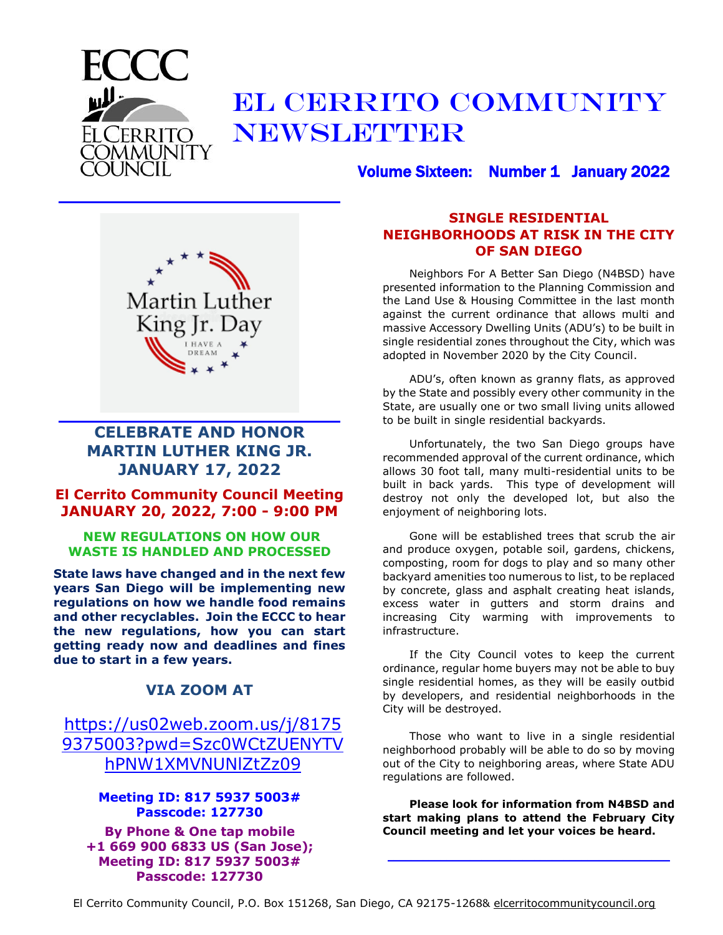

# EL CERRITO COMMUNITY NEWSLETTER

Volume Sixteen: Number 1 January 2022



**\_\_\_\_\_\_\_\_\_\_\_\_\_\_\_\_\_\_\_\_\_\_\_\_\_\_\_\_\_\_\_\_\_\_\_\_\_\_\_\_\_\_\_\_\_\_\_\_**

### **CELEBRATE AND HONOR MARTIN LUTHER KING JR. JANUARY 17, 2022**

**\_\_\_\_\_\_\_\_\_\_\_\_\_\_\_\_\_\_\_\_\_\_\_\_\_\_\_\_\_\_\_\_\_\_\_\_\_\_\_\_\_\_\_\_\_\_\_\_**

#### **El Cerrito Community Council Meeting JANUARY 20, 2022, 7:00 - 9:00 PM**

#### **NEW REGULATIONS ON HOW OUR WASTE IS HANDLED AND PROCESSED**

**State laws have changed and in the next few years San Diego will be implementing new regulations on how we handle food remains and other recyclables. Join the ECCC to hear the new regulations, how you can start getting ready now and deadlines and fines due to start in a few years.** 

#### **VIA ZOOM AT**

### [https://us02web.zoom.us/j/8175](https://us02web.zoom.us/j/81759375003?pwd=Szc0WCtZUENYTVhPNW1XMVNUNlZtZz09) [9375003?pwd=Szc0WCtZUENYTV](https://us02web.zoom.us/j/81759375003?pwd=Szc0WCtZUENYTVhPNW1XMVNUNlZtZz09) [hPNW1XMVNUNlZtZz09](https://us02web.zoom.us/j/81759375003?pwd=Szc0WCtZUENYTVhPNW1XMVNUNlZtZz09)

#### **Meeting ID: 817 5937 5003# Passcode: 127730**

**By Phone & One tap mobile +1 669 900 6833 US (San Jose); Meeting ID: 817 5937 5003# Passcode: 127730**

#### **SINGLE RESIDENTIAL NEIGHBORHOODS AT RISK IN THE CITY OF SAN DIEGO**

Neighbors For A Better San Diego (N4BSD) have presented information to the Planning Commission and the Land Use & Housing Committee in the last month against the current ordinance that allows multi and massive Accessory Dwelling Units (ADU's) to be built in single residential zones throughout the City, which was adopted in November 2020 by the City Council.

ADU's, often known as granny flats, as approved by the State and possibly every other community in the State, are usually one or two small living units allowed to be built in single residential backyards.

Unfortunately, the two San Diego groups have recommended approval of the current ordinance, which allows 30 foot tall, many multi-residential units to be built in back yards. This type of development will destroy not only the developed lot, but also the enjoyment of neighboring lots.

Gone will be established trees that scrub the air and produce oxygen, potable soil, gardens, chickens, composting, room for dogs to play and so many other backyard amenities too numerous to list, to be replaced by concrete, glass and asphalt creating heat islands, excess water in gutters and storm drains and increasing City warming with improvements to infrastructure.

If the City Council votes to keep the current ordinance, regular home buyers may not be able to buy single residential homes, as they will be easily outbid by developers, and residential neighborhoods in the City will be destroyed.

Those who want to live in a single residential neighborhood probably will be able to do so by moving out of the City to neighboring areas, where State ADU regulations are followed.

**Please look for information from N4BSD and start making plans to attend the February City Council meeting and let your voices be heard.**

**\_\_\_\_\_\_\_\_\_\_\_\_\_\_\_\_\_\_\_\_\_\_\_\_\_\_\_\_\_\_\_\_\_\_\_\_\_\_\_\_\_\_\_\_\_\_\_\_**

El Cerrito Community Council, P.O. Box 151268, San Diego, CA 92175-1268& elcerritocommunitycouncil.org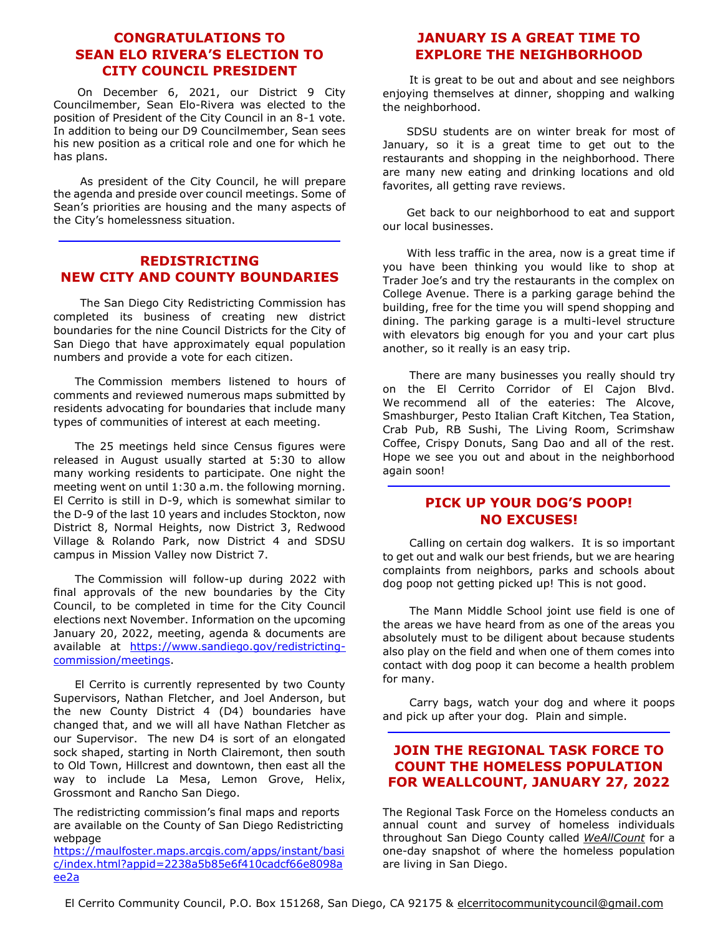#### **CONGRATULATIONS TO SEAN ELO RIVERA'S ELECTION TO CITY COUNCIL PRESIDENT**

On December 6, 2021, our District 9 City Councilmember, Sean Elo-Rivera was elected to the position of President of the City Council in an 8-1 vote. In addition to being our D9 Councilmember, Sean sees his new position as a critical role and one for which he has plans.

As president of the City Council, he will prepare the agenda and preside over council meetings. Some of Sean's priorities are housing and the many aspects of the City's homelessness situation.

#### **REDISTRICTING NEW CITY AND COUNTY BOUNDARIES**

**\_\_\_\_\_\_\_\_\_\_\_\_\_\_\_\_\_\_\_\_\_\_\_\_\_\_\_\_\_\_\_\_\_\_\_\_\_\_\_\_\_\_\_\_\_\_\_\_**

The San Diego City Redistricting Commission has completed its business of creating new district boundaries for the nine Council Districts for the City of San Diego that have approximately equal population numbers and provide a vote for each citizen.

The Commission members listened to hours of comments and reviewed numerous maps submitted by residents advocating for boundaries that include many types of communities of interest at each meeting.

The 25 meetings held since Census figures were released in August usually started at 5:30 to allow many working residents to participate. One night the meeting went on until 1:30 a.m. the following morning. El Cerrito is still in D-9, which is somewhat similar to the D-9 of the last 10 years and includes Stockton, now District 8, Normal Heights, now District 3, Redwood Village & Rolando Park, now District 4 and SDSU campus in Mission Valley now District 7.

The Commission will follow-up during 2022 with final approvals of the new boundaries by the City Council, to be completed in time for the City Council elections next November. Information on the upcoming January 20, 2022, meeting, agenda & documents are available at [https://www.sandiego.gov/redistricting](https://www.sandiego.gov/redistricting-commission/meetings)[commission/meetings.](https://www.sandiego.gov/redistricting-commission/meetings)

El Cerrito is currently represented by two County Supervisors, Nathan Fletcher, and Joel Anderson, but the new County District 4 (D4) boundaries have changed that, and we will all have Nathan Fletcher as our Supervisor. The new D4 is sort of an elongated sock shaped, starting in North Clairemont, then south to Old Town, Hillcrest and downtown, then east all the way to include La Mesa, Lemon Grove, Helix, Grossmont and Rancho San Diego.

The redistricting commission's final maps and reports are available on the [County of San Diego Redistricting](https://www.sandiegocounty.gov/redistricting/)  [webpage](https://www.sandiegocounty.gov/redistricting/)

[https://maulfoster.maps.arcgis.com/apps/instant/basi](https://maulfoster.maps.arcgis.com/apps/instant/basic/index.html?appid=2238a5b85e6f410cadcf66e8098aee2a) [c/index.html?appid=2238a5b85e6f410cadcf66e8098a](https://maulfoster.maps.arcgis.com/apps/instant/basic/index.html?appid=2238a5b85e6f410cadcf66e8098aee2a) [ee2a](https://maulfoster.maps.arcgis.com/apps/instant/basic/index.html?appid=2238a5b85e6f410cadcf66e8098aee2a)

#### **JANUARY IS A GREAT TIME TO EXPLORE THE NEIGHBORHOOD**

It is great to be out and about and see neighbors enjoying themselves at dinner, shopping and walking the neighborhood.

SDSU students are on winter break for most of January, so it is a great time to get out to the restaurants and shopping in the neighborhood. There are many new eating and drinking locations and old favorites, all getting rave reviews.

Get back to our neighborhood to eat and support our local businesses.

With less traffic in the area, now is a great time if you have been thinking you would like to shop at Trader Joe's and try the restaurants in the complex on College Avenue. There is a parking garage behind the building, free for the time you will spend shopping and dining. The parking garage is a multi-level structure with elevators big enough for you and your cart plus another, so it really is an easy trip.

There are many businesses you really should try on the El Cerrito Corridor of El Cajon Blvd. We recommend all of the eateries: The Alcove, Smashburger, Pesto Italian Craft Kitchen, Tea Station, Crab Pub, RB Sushi, The Living Room, Scrimshaw Coffee, Crispy Donuts, Sang Dao and all of the rest. Hope we see you out and about in the neighborhood again soon!

#### **PICK UP YOUR DOG'S POOP! NO EXCUSES!**

**\_\_\_\_\_\_\_\_\_\_\_\_\_\_\_\_\_\_\_\_\_\_\_\_\_\_\_\_\_\_\_\_\_\_\_\_\_\_\_\_\_\_\_\_\_\_\_\_**

Calling on certain dog walkers. It is so important to get out and walk our best friends, but we are hearing complaints from neighbors, parks and schools about dog poop not getting picked up! This is not good.

The Mann Middle School joint use field is one of the areas we have heard from as one of the areas you absolutely must to be diligent about because students also play on the field and when one of them comes into contact with dog poop it can become a health problem for many.

Carry bags, watch your dog and where it poops and pick up after your dog. Plain and simple. **\_\_\_\_\_\_\_\_\_\_\_\_\_\_\_\_\_\_\_\_\_\_\_\_\_\_\_\_\_\_\_\_\_\_\_\_\_\_\_\_\_\_\_\_\_\_\_\_**

#### **JOIN THE REGIONAL TASK FORCE TO COUNT THE HOMELESS POPULATION FOR WEALLCOUNT, JANUARY 27, 2022**

The Regional Task Force on the Homeless conducts an annual count and survey of homeless individuals throughout San Diego County called *[WeAllCount](https://www.facebook.com/events/105739766570876/)* for a [one-day snapshot of where the homeless population](https://www.facebook.com/events/105739766570876/) [are living in San Diego.](https://www.facebook.com/events/105739766570876/)

El Cerrito Community Council, P.O. Box 151268, San Diego, CA 92175 & elcerritocommunitycouncil@gmail.com